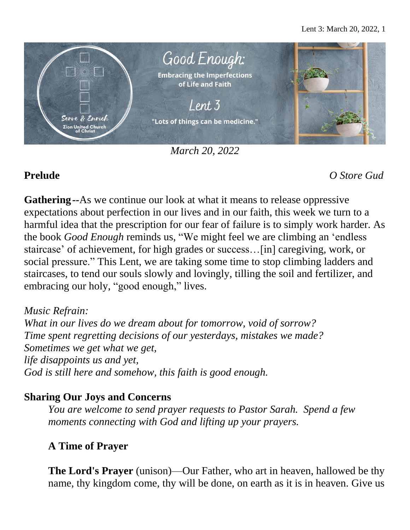

*March 20, 2022*

**Prelude** *O Store Gud*

**Gathering***--*As we continue our look at what it means to release oppressive expectations about perfection in our lives and in our faith, this week we turn to a harmful idea that the prescription for our fear of failure is to simply work harder. As the book *Good Enough* reminds us, "We might feel we are climbing an 'endless staircase' of achievement, for high grades or success…[in] caregiving, work, or social pressure." This Lent, we are taking some time to stop climbing ladders and staircases, to tend our souls slowly and lovingly, tilling the soil and fertilizer, and embracing our holy, "good enough," lives.

*Music Refrain: What in our lives do we dream about for tomorrow, void of sorrow? Time spent regretting decisions of our yesterdays, mistakes we made? Sometimes we get what we get, life disappoints us and yet, God is still here and somehow, this faith is good enough.*

## **Sharing Our Joys and Concerns**

*You are welcome to send prayer requests to Pastor Sarah. Spend a few moments connecting with God and lifting up your prayers.*

# **A Time of Prayer**

**The Lord's Prayer** (unison)—Our Father, who art in heaven, hallowed be thy name, thy kingdom come, thy will be done, on earth as it is in heaven. Give us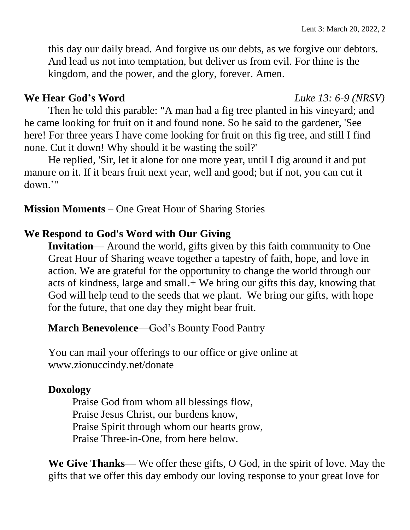this day our daily bread. And forgive us our debts, as we forgive our debtors. And lead us not into temptation, but deliver us from evil. For thine is the kingdom, and the power, and the glory, forever. Amen.

### **We Hear God's Word** *Luke 13: 6-9 (NRSV)*

Then he told this parable: "A man had a fig tree planted in his vineyard; and he came looking for fruit on it and found none. So he said to the gardener, 'See here! For three years I have come looking for fruit on this fig tree, and still I find none. Cut it down! Why should it be wasting the soil?'

He replied, 'Sir, let it alone for one more year, until I dig around it and put manure on it. If it bears fruit next year, well and good; but if not, you can cut it down.'"

**Mission Moments –** One Great Hour of Sharing Stories

### **We Respond to God's Word with Our Giving**

**Invitation—** Around the world, gifts given by this faith community to One Great Hour of Sharing weave together a tapestry of faith, hope, and love in action. We are grateful for the opportunity to change the world through our acts of kindness, large and small.+ We bring our gifts this day, knowing that God will help tend to the seeds that we plant. We bring our gifts, with hope for the future, that one day they might bear fruit.

**March Benevolence**—God's Bounty Food Pantry

You can mail your offerings to our office or give online at www.zionuccindy.net/donate

### **Doxology**

Praise God from whom all blessings flow, Praise Jesus Christ, our burdens know, Praise Spirit through whom our hearts grow, Praise Three-in-One, from here below.

**We Give Thanks**— We offer these gifts, O God, in the spirit of love. May the gifts that we offer this day embody our loving response to your great love for